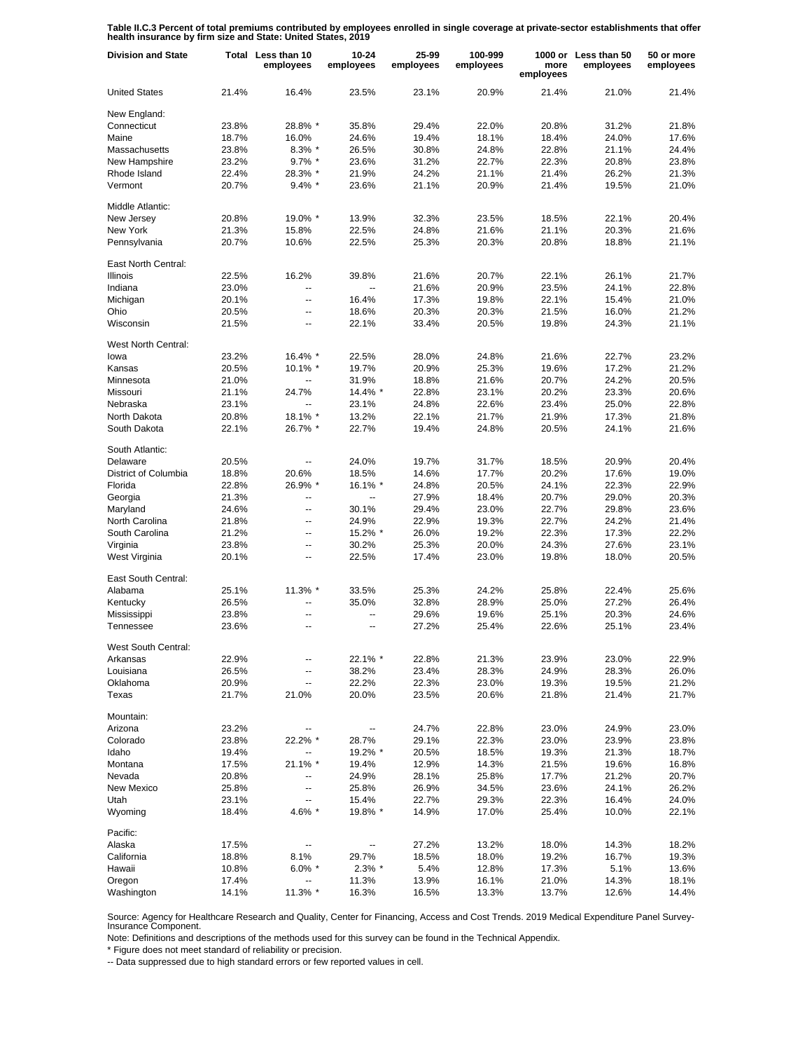**Table II.C.3 Percent of total premiums contributed by employees enrolled in single coverage at private-sector establishments that offer health insurance by firm size and State: United States, 2019**

| <b>Division and State</b>   |       | Total Less than 10<br>employees | $10 - 24$<br>employees   | 25-99<br>employees | 100-999<br>employees | more<br>employees | 1000 or Less than 50<br>employees | 50 or more<br>employees |
|-----------------------------|-------|---------------------------------|--------------------------|--------------------|----------------------|-------------------|-----------------------------------|-------------------------|
| <b>United States</b>        | 21.4% | 16.4%                           | 23.5%                    | 23.1%              | 20.9%                | 21.4%             | 21.0%                             | 21.4%                   |
| New England:                |       |                                 |                          |                    |                      |                   |                                   |                         |
| Connecticut                 | 23.8% | 28.8% *                         | 35.8%                    | 29.4%              | 22.0%                | 20.8%             | 31.2%                             | 21.8%                   |
| Maine                       | 18.7% | 16.0%                           | 24.6%                    | 19.4%              | 18.1%                | 18.4%             | 24.0%                             | 17.6%                   |
| Massachusetts               | 23.8% | $8.3\%$ *                       | 26.5%                    | 30.8%              | 24.8%                | 22.8%             | 21.1%                             | 24.4%                   |
| New Hampshire               | 23.2% | $9.7\%$ *                       | 23.6%                    | 31.2%              | 22.7%                | 22.3%             | 20.8%                             | 23.8%                   |
| Rhode Island                | 22.4% | 28.3% *                         | 21.9%                    | 24.2%              | 21.1%                | 21.4%             | 26.2%                             | 21.3%                   |
| Vermont                     | 20.7% | $9.4\%$ *                       | 23.6%                    | 21.1%              | 20.9%                | 21.4%             | 19.5%                             | 21.0%                   |
| Middle Atlantic:            |       |                                 |                          |                    |                      |                   |                                   |                         |
| New Jersey                  | 20.8% | 19.0% *                         | 13.9%                    | 32.3%              | 23.5%                | 18.5%             | 22.1%                             | 20.4%                   |
| New York                    | 21.3% | 15.8%                           | 22.5%                    | 24.8%              | 21.6%                | 21.1%             | 20.3%                             | 21.6%                   |
| Pennsylvania                | 20.7% | 10.6%                           | 22.5%                    | 25.3%              | 20.3%                | 20.8%             | 18.8%                             | 21.1%                   |
| East North Central:         |       |                                 |                          |                    |                      |                   |                                   |                         |
| Illinois                    | 22.5% | 16.2%                           | 39.8%                    | 21.6%              | 20.7%                | 22.1%             | 26.1%                             | 21.7%                   |
| Indiana                     | 23.0% | ÷.                              | Ξ.                       | 21.6%              | 20.9%                | 23.5%             | 24.1%                             | 22.8%                   |
| Michigan                    | 20.1% | ÷.                              | 16.4%                    | 17.3%              | 19.8%                | 22.1%             | 15.4%                             | 21.0%                   |
| Ohio                        | 20.5% | $\overline{\phantom{a}}$        | 18.6%                    | 20.3%              | 20.3%                | 21.5%             | 16.0%                             | 21.2%                   |
| Wisconsin                   | 21.5% | $\overline{\phantom{a}}$        | 22.1%                    | 33.4%              | 20.5%                | 19.8%             | 24.3%                             | 21.1%                   |
|                             |       |                                 |                          |                    |                      |                   |                                   |                         |
| West North Central:         |       |                                 |                          |                    |                      |                   |                                   |                         |
| lowa                        | 23.2% | 16.4% *                         | 22.5%                    | 28.0%              | 24.8%                | 21.6%             | 22.7%                             | 23.2%                   |
| Kansas                      | 20.5% | $10.1\%$ *                      | 19.7%                    | 20.9%              | 25.3%                | 19.6%             | 17.2%                             | 21.2%                   |
| Minnesota                   | 21.0% | $\overline{a}$                  | 31.9%                    | 18.8%              | 21.6%                | 20.7%             | 24.2%                             | 20.5%                   |
| Missouri                    | 21.1% | 24.7%                           | 14.4% *                  | 22.8%              | 23.1%                | 20.2%             | 23.3%                             | 20.6%                   |
| Nebraska                    | 23.1% |                                 | 23.1%                    | 24.8%              | 22.6%                | 23.4%             | 25.0%                             | 22.8%                   |
| North Dakota                | 20.8% | 18.1% *                         | 13.2%                    | 22.1%              | 21.7%                | 21.9%             | 17.3%                             | 21.8%                   |
| South Dakota                | 22.1% | 26.7% *                         | 22.7%                    | 19.4%              | 24.8%                | 20.5%             | 24.1%                             | 21.6%                   |
|                             |       |                                 |                          |                    |                      |                   |                                   |                         |
| South Atlantic:<br>Delaware | 20.5% | --                              | 24.0%                    | 19.7%              | 31.7%                | 18.5%             | 20.9%                             | 20.4%                   |
|                             |       |                                 |                          |                    |                      |                   |                                   |                         |
| District of Columbia        | 18.8% | 20.6%                           | 18.5%                    | 14.6%              | 17.7%                | 20.2%             | 17.6%                             | 19.0%                   |
| Florida                     | 22.8% | 26.9% *                         | 16.1% *                  | 24.8%              | 20.5%                | 24.1%             | 22.3%                             | 22.9%                   |
| Georgia                     | 21.3% | $\overline{\phantom{a}}$        | $\overline{\phantom{a}}$ | 27.9%              | 18.4%                | 20.7%             | 29.0%                             | 20.3%                   |
| Maryland                    | 24.6% | $\overline{a}$                  | 30.1%                    | 29.4%              | 23.0%                | 22.7%             | 29.8%                             | 23.6%                   |
| North Carolina              | 21.8% | $\overline{\phantom{a}}$        | 24.9%                    | 22.9%              | 19.3%                | 22.7%             | 24.2%                             | 21.4%                   |
| South Carolina              | 21.2% | $\overline{\phantom{a}}$        | 15.2% *                  | 26.0%              | 19.2%                | 22.3%             | 17.3%                             | 22.2%                   |
| Virginia                    | 23.8% | $\overline{\phantom{a}}$        | 30.2%                    | 25.3%              | 20.0%                | 24.3%             | 27.6%                             | 23.1%                   |
| West Virginia               | 20.1% | $\overline{\phantom{a}}$        | 22.5%                    | 17.4%              | 23.0%                | 19.8%             | 18.0%                             | 20.5%                   |
| East South Central:         |       |                                 |                          |                    |                      |                   |                                   |                         |
| Alabama                     | 25.1% | 11.3% *                         | 33.5%                    | 25.3%              | 24.2%                | 25.8%             | 22.4%                             | 25.6%                   |
| Kentucky                    | 26.5% | $\overline{\phantom{a}}$        | 35.0%                    | 32.8%              | 28.9%                | 25.0%             | 27.2%                             | 26.4%                   |
| Mississippi                 | 23.8% | $\overline{\phantom{a}}$        |                          | 29.6%              | 19.6%                | 25.1%             | 20.3%                             | 24.6%                   |
| Tennessee                   | 23.6% | $\overline{\phantom{a}}$        | $\overline{a}$           | 27.2%              | 25.4%                | 22.6%             | 25.1%                             | 23.4%                   |
|                             |       |                                 |                          |                    |                      |                   |                                   |                         |
| West South Central:         |       |                                 |                          |                    |                      |                   |                                   |                         |
| Arkansas                    | 22.9% |                                 | 22.1% *                  | 22.8%              | 21.3%                | 23.9%             | 23.0%                             | 22.9%                   |
| Louisiana                   | 26.5% |                                 | 38.2%                    | 23.4%              | 28.3%                | 24.9%             | 28.3%                             | 26.0%                   |
| Oklahoma                    | 20.9% | --                              | 22.2%                    | 22.3%              | 23.0%                | 19.3%             | 19.5%                             | 21.2%                   |
| Texas                       | 21.7% | 21.0%                           | 20.0%                    | 23.5%              | 20.6%                | 21.8%             | 21.4%                             | 21.7%                   |
| Mountain:                   |       |                                 |                          |                    |                      |                   |                                   |                         |
| Arizona                     | 23.2% | $\overline{\phantom{a}}$        | ۰.                       | 24.7%              | 22.8%                | 23.0%             | 24.9%                             | 23.0%                   |
| Colorado                    | 23.8% | 22.2% *                         | 28.7%                    | 29.1%              | 22.3%                | 23.0%             | 23.9%                             | 23.8%                   |
| Idaho                       | 19.4% | --                              | 19.2% *                  | 20.5%              | 18.5%                | 19.3%             | 21.3%                             | 18.7%                   |
| Montana                     | 17.5% | 21.1% *                         | 19.4%                    | 12.9%              | 14.3%                | 21.5%             | 19.6%                             | 16.8%                   |
| Nevada                      | 20.8% | -−                              | 24.9%                    | 28.1%              | 25.8%                | 17.7%             | 21.2%                             |                         |
|                             |       |                                 |                          |                    |                      |                   |                                   | 20.7%                   |
| New Mexico                  | 25.8% | --                              | 25.8%                    | 26.9%              | 34.5%                | 23.6%             | 24.1%                             | 26.2%                   |
| Utah                        | 23.1% | --                              | 15.4%                    | 22.7%              | 29.3%                | 22.3%             | 16.4%                             | 24.0%                   |
| Wyoming                     | 18.4% | 4.6% *                          | 19.8% *                  | 14.9%              | 17.0%                | 25.4%             | 10.0%                             | 22.1%                   |
| Pacific:                    |       |                                 |                          |                    |                      |                   |                                   |                         |
| Alaska                      | 17.5% | --                              | --                       | 27.2%              | 13.2%                | 18.0%             | 14.3%                             | 18.2%                   |
| California                  | 18.8% | 8.1%                            | 29.7%                    | 18.5%              | 18.0%                | 19.2%             | 16.7%                             | 19.3%                   |
| Hawaii                      | 10.8% | $6.0\%$ *                       | $2.3\%$ *                | 5.4%               | 12.8%                | 17.3%             | 5.1%                              | 13.6%                   |
| Oregon                      | 17.4% | $\overline{\phantom{a}}$        | 11.3%                    | 13.9%              | 16.1%                | 21.0%             | 14.3%                             | 18.1%                   |
| Washington                  | 14.1% | 11.3% *                         | 16.3%                    | 16.5%              | 13.3%                | 13.7%             | 12.6%                             | 14.4%                   |

Source: Agency for Healthcare Research and Quality, Center for Financing, Access and Cost Trends. 2019 Medical Expenditure Panel Survey-Insurance Component.

Note: Definitions and descriptions of the methods used for this survey can be found in the Technical Appendix.

\* Figure does not meet standard of reliability or precision.

-- Data suppressed due to high standard errors or few reported values in cell.